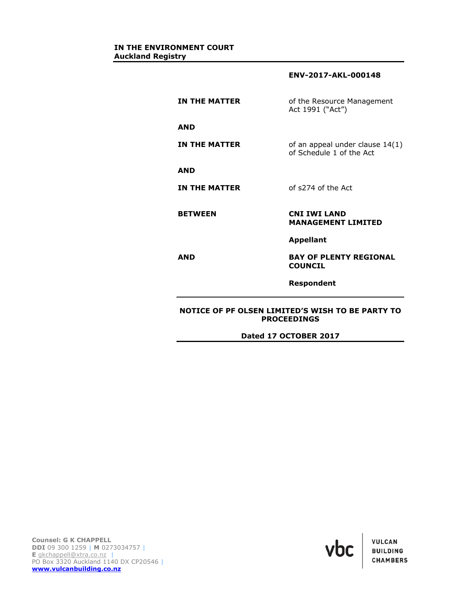**ENV-2017-AKL-000148**

| <b>IN THE MATTER</b> | of the Resource Management<br>Act 1991 ("Act")              |
|----------------------|-------------------------------------------------------------|
| <b>AND</b>           |                                                             |
| <b>IN THE MATTER</b> | of an appeal under clause 14(1)<br>of Schedule 1 of the Act |
| <b>AND</b>           |                                                             |
| <b>IN THE MATTER</b> | of s274 of the Act                                          |
| <b>BETWEEN</b>       | <b>CNI IWI LAND</b><br><b>MANAGEMENT LIMITED</b>            |
|                      | <b>Appellant</b>                                            |
| AND                  | <b>BAY OF PLENTY REGIONAL</b><br><b>COUNCIL</b>             |
|                      | Respondent                                                  |

# **NOTICE OF PF OLSEN LIMITED'S WISH TO BE PARTY TO PROCEEDINGS**

**Dated 17 OCTOBER 2017**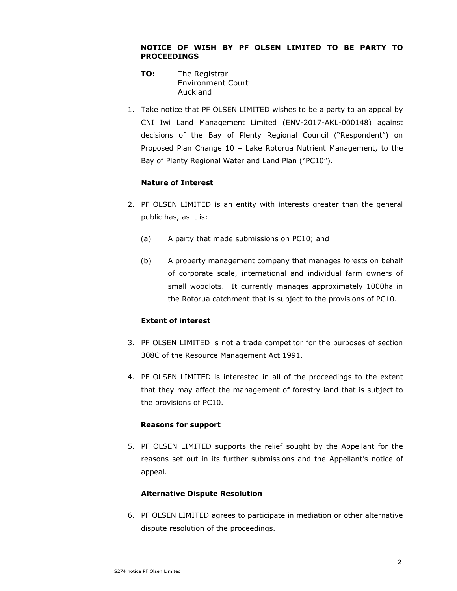### **NOTICE OF WISH BY PF OLSEN LIMITED TO BE PARTY TO PROCEEDINGS**

- **TO:** The Registrar Environment Court Auckland
- 1. Take notice that PF OLSEN LIMITED wishes to be a party to an appeal by CNI Iwi Land Management Limited (ENV-2017-AKL-000148) against decisions of the Bay of Plenty Regional Council ("Respondent") on Proposed Plan Change 10 – Lake Rotorua Nutrient Management, to the Bay of Plenty Regional Water and Land Plan ("PC10").

# **Nature of Interest**

- 2. PF OLSEN LIMITED is an entity with interests greater than the general public has, as it is:
	- (a) A party that made submissions on PC10; and
	- (b) A property management company that manages forests on behalf of corporate scale, international and individual farm owners of small woodlots. It currently manages approximately 1000ha in the Rotorua catchment that is subject to the provisions of PC10.

# **Extent of interest**

- 3. PF OLSEN LIMITED is not a trade competitor for the purposes of section 308C of the Resource Management Act 1991.
- 4. PF OLSEN LIMITED is interested in all of the proceedings to the extent that they may affect the management of forestry land that is subject to the provisions of PC10.

## **Reasons for support**

5. PF OLSEN LIMITED supports the relief sought by the Appellant for the reasons set out in its further submissions and the Appellant's notice of appeal.

## **Alternative Dispute Resolution**

6. PF OLSEN LIMITED agrees to participate in mediation or other alternative dispute resolution of the proceedings.